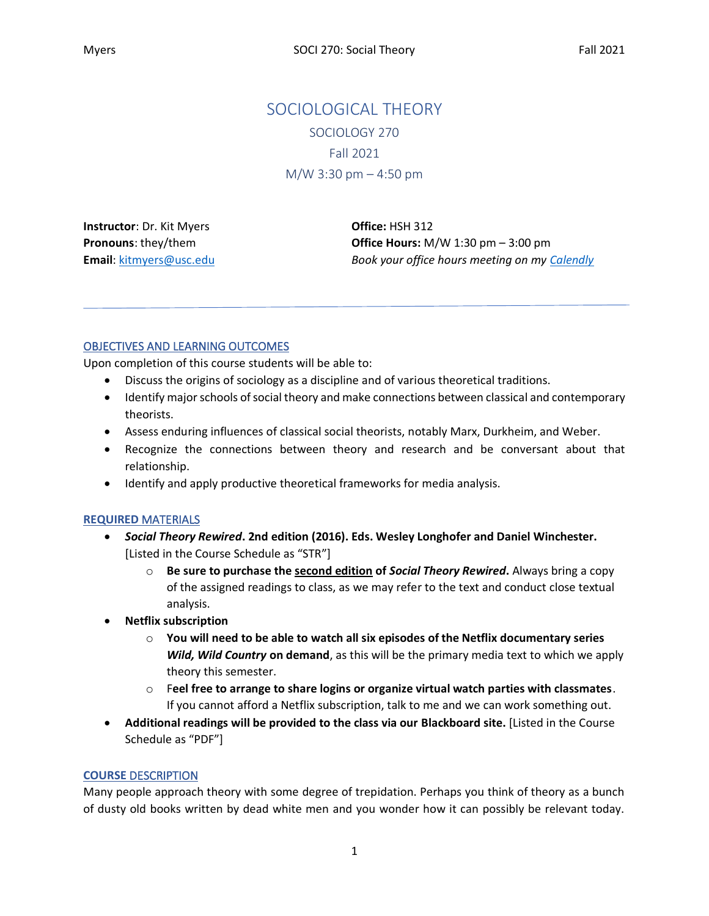# SOCIOLOGICAL THEORY SOCIOLOGY 270 Fall 2021 M/W 3:30 pm – 4:50 pm

**Instructor**: Dr. Kit Myers **Pronouns**: they/them **Email**[: kitmyers@usc.edu](mailto:kitmyers@usc.edu) **Office:** HSH 312 **Office Hours:** M/W 1:30 pm – 3:00 pm *Book your office hours meeting on m[y Calendly](https://calendly.com/dr-kit-myers/15min)*

# OBJECTIVES AND LEARNING OUTCOMES

Upon completion of this course students will be able to:

- Discuss the origins of sociology as a discipline and of various theoretical traditions.
- Identify major schools of social theory and make connections between classical and contemporary theorists.
- Assess enduring influences of classical social theorists, notably Marx, Durkheim, and Weber.
- Recognize the connections between theory and research and be conversant about that relationship.
- Identify and apply productive theoretical frameworks for media analysis.

### **REQUIRED** MATERIALS

- *Social Theory Rewired***. 2nd edition (2016). Eds. Wesley Longhofer and Daniel Winchester.** [Listed in the Course Schedule as "STR"]
	- o **Be sure to purchase the second edition of** *Social Theory Rewired***.** Always bring a copy of the assigned readings to class, as we may refer to the text and conduct close textual analysis.
- **Netflix subscription**
	- o **You will need to be able to watch all six episodes of the Netflix documentary series**  *Wild, Wild Country* **on demand**, as this will be the primary media text to which we apply theory this semester.
	- o F**eel free to arrange to share logins or organize virtual watch parties with classmates**. If you cannot afford a Netflix subscription, talk to me and we can work something out.
- **Additional readings will be provided to the class via our Blackboard site.** [Listed in the Course Schedule as "PDF"]

# **COURSE** DESCRIPTION

Many people approach theory with some degree of trepidation. Perhaps you think of theory as a bunch of dusty old books written by dead white men and you wonder how it can possibly be relevant today.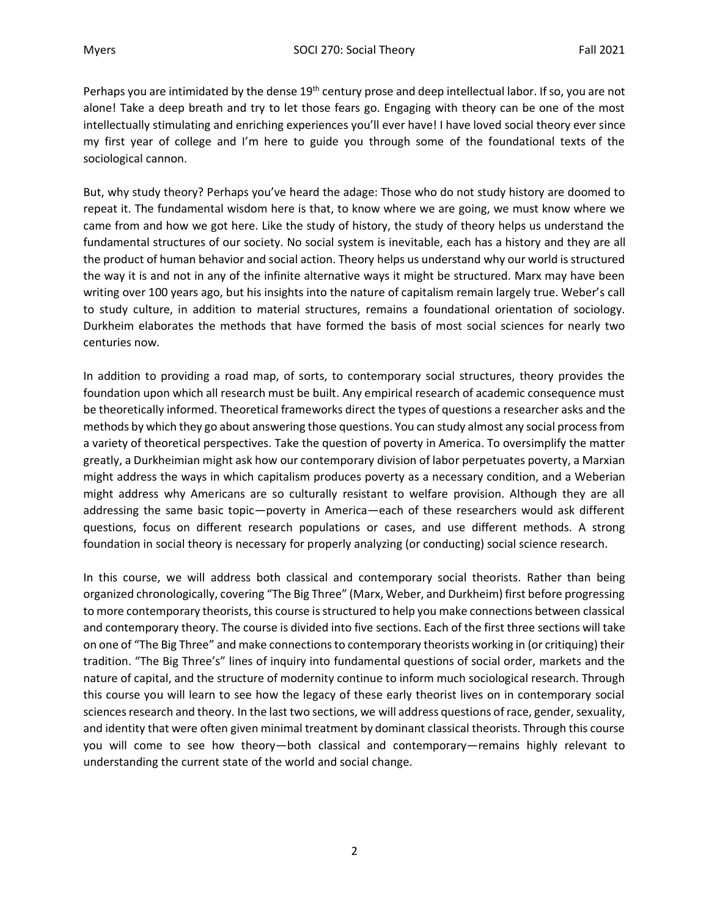Perhaps you are intimidated by the dense 19<sup>th</sup> century prose and deep intellectual labor. If so, you are not alone! Take a deep breath and try to let those fears go. Engaging with theory can be one of the most intellectually stimulating and enriching experiences you'll ever have! I have loved social theory ever since my first year of college and I'm here to guide you through some of the foundational texts of the sociological cannon.

But, why study theory? Perhaps you've heard the adage: Those who do not study history are doomed to repeat it. The fundamental wisdom here is that, to know where we are going, we must know where we came from and how we got here. Like the study of history, the study of theory helps us understand the fundamental structures of our society. No social system is inevitable, each has a history and they are all the product of human behavior and social action. Theory helps us understand why our world is structured the way it is and not in any of the infinite alternative ways it might be structured. Marx may have been writing over 100 years ago, but his insights into the nature of capitalism remain largely true. Weber's call to study culture, in addition to material structures, remains a foundational orientation of sociology. Durkheim elaborates the methods that have formed the basis of most social sciences for nearly two centuries now.

In addition to providing a road map, of sorts, to contemporary social structures, theory provides the foundation upon which all research must be built. Any empirical research of academic consequence must be theoretically informed. Theoretical frameworks direct the types of questions a researcher asks and the methods by which they go about answering those questions. You can study almost any social process from a variety of theoretical perspectives. Take the question of poverty in America. To oversimplify the matter greatly, a Durkheimian might ask how our contemporary division of labor perpetuates poverty, a Marxian might address the ways in which capitalism produces poverty as a necessary condition, and a Weberian might address why Americans are so culturally resistant to welfare provision. Although they are all addressing the same basic topic—poverty in America—each of these researchers would ask different questions, focus on different research populations or cases, and use different methods. A strong foundation in social theory is necessary for properly analyzing (or conducting) social science research.

In this course, we will address both classical and contemporary social theorists. Rather than being organized chronologically, covering "The Big Three" (Marx, Weber, and Durkheim) first before progressing to more contemporary theorists, this course is structured to help you make connections between classical and contemporary theory. The course is divided into five sections. Each of the first three sections will take on one of "The Big Three" and make connections to contemporary theorists working in (or critiquing) their tradition. "The Big Three's" lines of inquiry into fundamental questions of social order, markets and the nature of capital, and the structure of modernity continue to inform much sociological research. Through this course you will learn to see how the legacy of these early theorist lives on in contemporary social sciences research and theory. In the last two sections, we will address questions of race, gender, sexuality, and identity that were often given minimal treatment by dominant classical theorists. Through this course you will come to see how theory—both classical and contemporary—remains highly relevant to understanding the current state of the world and social change.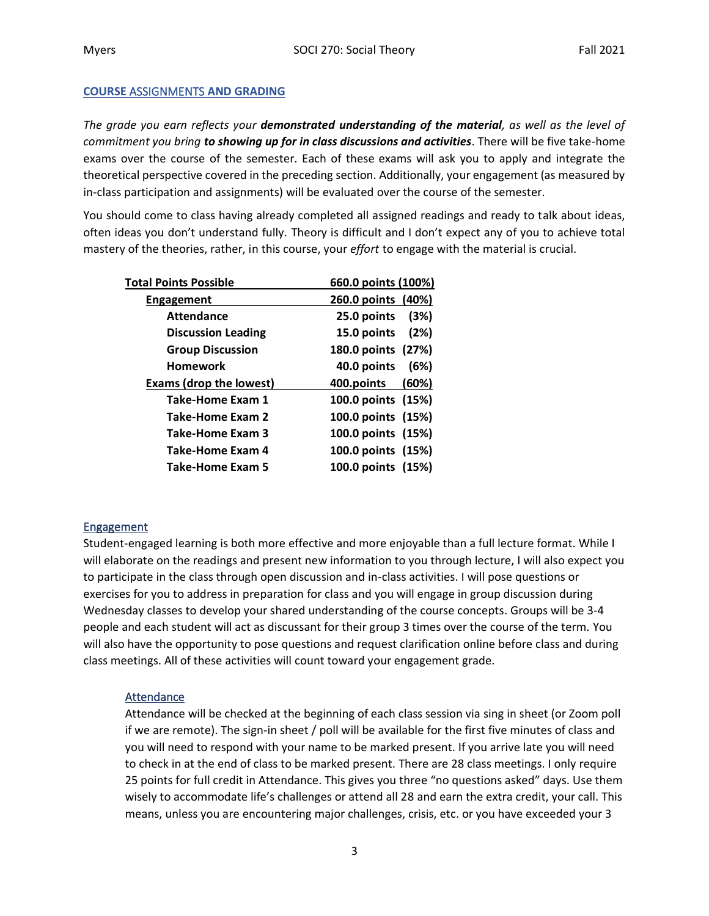### **COURSE** ASSIGNMENTS **AND GRADING**

*The grade you earn reflects your demonstrated understanding of the material, as well as the level of commitment you bring to showing up for in class discussions and activities*. There will be five take-home exams over the course of the semester. Each of these exams will ask you to apply and integrate the theoretical perspective covered in the preceding section. Additionally, your engagement (as measured by in-class participation and assignments) will be evaluated over the course of the semester.

You should come to class having already completed all assigned readings and ready to talk about ideas, often ideas you don't understand fully. Theory is difficult and I don't expect any of you to achieve total mastery of the theories, rather, in this course, your *effort* to engage with the material is crucial.

| Total Points Possible          | 660.0 points (100%) |
|--------------------------------|---------------------|
| Engagement                     | 260.0 points (40%)  |
| <b>Attendance</b>              | 25.0 points<br>(3%) |
| <b>Discussion Leading</b>      | 15.0 points (2%)    |
| <b>Group Discussion</b>        | 180.0 points (27%)  |
| <b>Homework</b>                | 40.0 points<br>(6%) |
|                                |                     |
| <b>Exams (drop the lowest)</b> | (60%)<br>400.points |
| Take-Home Exam 1               | 100.0 points (15%)  |
| Take-Home Exam 2               | 100.0 points (15%)  |
| Take-Home Exam 3               | 100.0 points (15%)  |
| Take-Home Exam 4               | 100.0 points (15%)  |
| Take-Home Exam 5               | 100.0 points (15%)  |

### **Engagement**

Student-engaged learning is both more effective and more enjoyable than a full lecture format. While I will elaborate on the readings and present new information to you through lecture, I will also expect you to participate in the class through open discussion and in-class activities. I will pose questions or exercises for you to address in preparation for class and you will engage in group discussion during Wednesday classes to develop your shared understanding of the course concepts. Groups will be 3-4 people and each student will act as discussant for their group 3 times over the course of the term. You will also have the opportunity to pose questions and request clarification online before class and during class meetings. All of these activities will count toward your engagement grade.

### **Attendance**

Attendance will be checked at the beginning of each class session via sing in sheet (or Zoom poll if we are remote). The sign-in sheet / poll will be available for the first five minutes of class and you will need to respond with your name to be marked present. If you arrive late you will need to check in at the end of class to be marked present. There are 28 class meetings. I only require 25 points for full credit in Attendance. This gives you three "no questions asked" days. Use them wisely to accommodate life's challenges or attend all 28 and earn the extra credit, your call. This means, unless you are encountering major challenges, crisis, etc. or you have exceeded your 3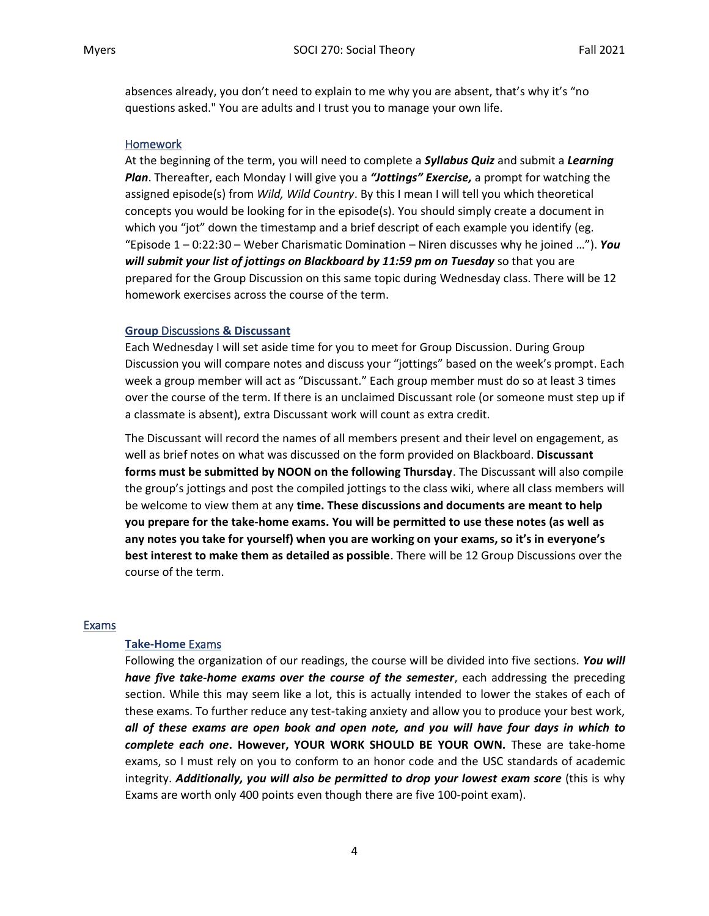absences already, you don't need to explain to me why you are absent, that's why it's "no questions asked." You are adults and I trust you to manage your own life.

### **Homework**

At the beginning of the term, you will need to complete a *Syllabus Quiz* and submit a *Learning Plan*. Thereafter, each Monday I will give you a *"Jottings" Exercise,* a prompt for watching the assigned episode(s) from *Wild, Wild Country*. By this I mean I will tell you which theoretical concepts you would be looking for in the episode(s). You should simply create a document in which you "jot" down the timestamp and a brief descript of each example you identify (eg. "Episode 1 – 0:22:30 – Weber Charismatic Domination – Niren discusses why he joined …"). *You will submit your list of jottings on Blackboard by 11:59 pm on Tuesday* so that you are prepared for the Group Discussion on this same topic during Wednesday class. There will be 12 homework exercises across the course of the term.

### **Group** Discussions **& Discussant**

Each Wednesday I will set aside time for you to meet for Group Discussion. During Group Discussion you will compare notes and discuss your "jottings" based on the week's prompt. Each week a group member will act as "Discussant." Each group member must do so at least 3 times over the course of the term. If there is an unclaimed Discussant role (or someone must step up if a classmate is absent), extra Discussant work will count as extra credit.

The Discussant will record the names of all members present and their level on engagement, as well as brief notes on what was discussed on the form provided on Blackboard. **Discussant forms must be submitted by NOON on the following Thursday**. The Discussant will also compile the group's jottings and post the compiled jottings to the class wiki, where all class members will be welcome to view them at any **time. These discussions and documents are meant to help you prepare for the take-home exams. You will be permitted to use these notes (as well as any notes you take for yourself) when you are working on your exams, so it's in everyone's best interest to make them as detailed as possible**. There will be 12 Group Discussions over the course of the term.

### Exams

### **Take-Home** Exams

Following the organization of our readings, the course will be divided into five sections. *You will have five take-home exams over the course of the semester*, each addressing the preceding section. While this may seem like a lot, this is actually intended to lower the stakes of each of these exams. To further reduce any test-taking anxiety and allow you to produce your best work, *all of these exams are open book and open note, and you will have four days in which to complete each one***. However, YOUR WORK SHOULD BE YOUR OWN.** These are take-home exams, so I must rely on you to conform to an honor code and the USC standards of academic integrity. *Additionally, you will also be permitted to drop your lowest exam score* (this is why Exams are worth only 400 points even though there are five 100-point exam).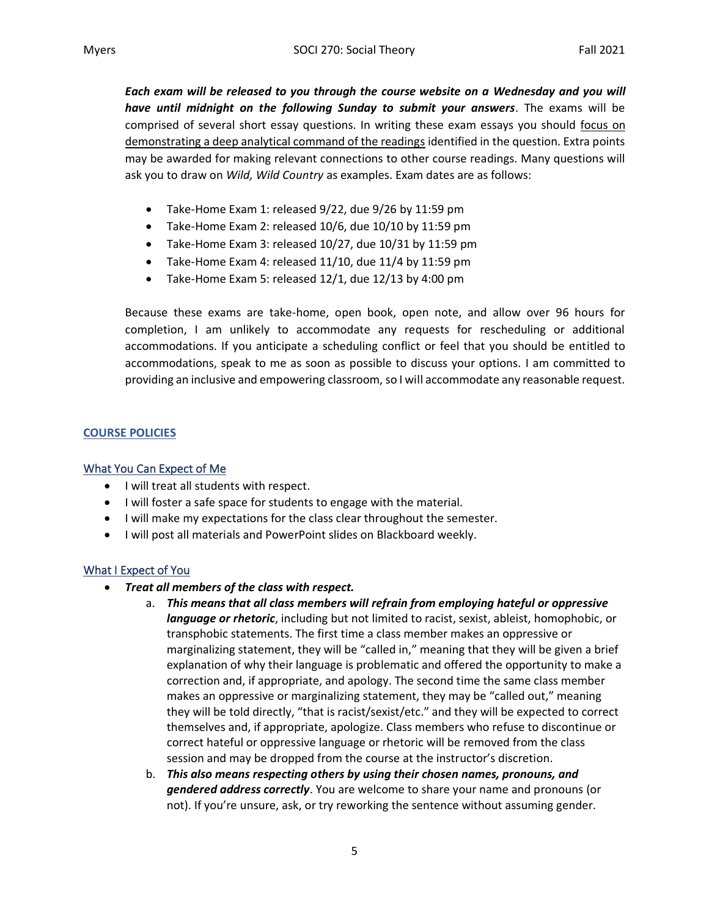*Each exam will be released to you through the course website on a Wednesday and you will have until midnight on the following Sunday to submit your answers*. The exams will be comprised of several short essay questions. In writing these exam essays you should focus on demonstrating a deep analytical command of the readings identified in the question. Extra points may be awarded for making relevant connections to other course readings. Many questions will ask you to draw on *Wild, Wild Country* as examples. Exam dates are as follows:

- Take-Home Exam 1: released 9/22, due 9/26 by 11:59 pm
- Take-Home Exam 2: released 10/6, due 10/10 by 11:59 pm
- Take-Home Exam 3: released 10/27, due 10/31 by 11:59 pm
- Take-Home Exam 4: released 11/10, due 11/4 by 11:59 pm
- Take-Home Exam 5: released 12/1, due 12/13 by 4:00 pm

Because these exams are take-home, open book, open note, and allow over 96 hours for completion, I am unlikely to accommodate any requests for rescheduling or additional accommodations. If you anticipate a scheduling conflict or feel that you should be entitled to accommodations, speak to me as soon as possible to discuss your options. I am committed to providing an inclusive and empowering classroom, so I will accommodate any reasonable request.

# **COURSE POLICIES**

### What You Can Expect of Me

- I will treat all students with respect.
- I will foster a safe space for students to engage with the material.
- I will make my expectations for the class clear throughout the semester.
- I will post all materials and PowerPoint slides on Blackboard weekly.

# What I Expect of You

- *Treat all members of the class with respect.* 
	- a. *This means that all class members will refrain from employing hateful or oppressive language or rhetoric*, including but not limited to racist, sexist, ableist, homophobic, or transphobic statements. The first time a class member makes an oppressive or marginalizing statement, they will be "called in," meaning that they will be given a brief explanation of why their language is problematic and offered the opportunity to make a correction and, if appropriate, and apology. The second time the same class member makes an oppressive or marginalizing statement, they may be "called out," meaning they will be told directly, "that is racist/sexist/etc." and they will be expected to correct themselves and, if appropriate, apologize. Class members who refuse to discontinue or correct hateful or oppressive language or rhetoric will be removed from the class session and may be dropped from the course at the instructor's discretion.
	- b. *This also means respecting others by using their chosen names, pronouns, and gendered address correctly*. You are welcome to share your name and pronouns (or not). If you're unsure, ask, or try reworking the sentence without assuming gender.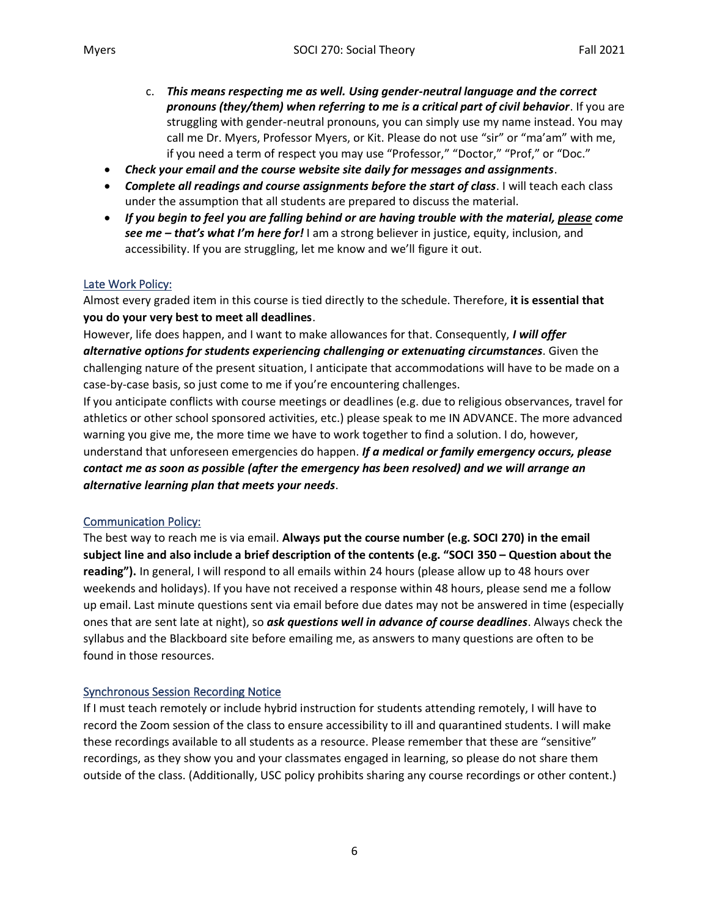- c. *This means respecting me as well. Using gender-neutral language and the correct pronouns (they/them) when referring to me is a critical part of civil behavior*. If you are struggling with gender-neutral pronouns, you can simply use my name instead. You may call me Dr. Myers, Professor Myers, or Kit. Please do not use "sir" or "ma'am" with me, if you need a term of respect you may use "Professor," "Doctor," "Prof," or "Doc."
- *Check your email and the course website site daily for messages and assignments*.
- *Complete all readings and course assignments before the start of class*. I will teach each class under the assumption that all students are prepared to discuss the material.
- *If you begin to feel you are falling behind or are having trouble with the material, please come see me – that's what I'm here for!* I am a strong believer in justice, equity, inclusion, and accessibility. If you are struggling, let me know and we'll figure it out.

# Late Work Policy:

Almost every graded item in this course is tied directly to the schedule. Therefore, **it is essential that you do your very best to meet all deadlines**.

However, life does happen, and I want to make allowances for that. Consequently, *I will offer alternative options for students experiencing challenging or extenuating circumstances*. Given the challenging nature of the present situation, I anticipate that accommodations will have to be made on a case-by-case basis, so just come to me if you're encountering challenges.

If you anticipate conflicts with course meetings or deadlines (e.g. due to religious observances, travel for athletics or other school sponsored activities, etc.) please speak to me IN ADVANCE. The more advanced warning you give me, the more time we have to work together to find a solution. I do, however, understand that unforeseen emergencies do happen. *If a medical or family emergency occurs, please contact me as soon as possible (after the emergency has been resolved) and we will arrange an alternative learning plan that meets your needs*.

# Communication Policy:

The best way to reach me is via email. **Always put the course number (e.g. SOCI 270) in the email subject line and also include a brief description of the contents (e.g. "SOCI 350 – Question about the reading").** In general, I will respond to all emails within 24 hours (please allow up to 48 hours over weekends and holidays). If you have not received a response within 48 hours, please send me a follow up email. Last minute questions sent via email before due dates may not be answered in time (especially ones that are sent late at night), so *ask questions well in advance of course deadlines*. Always check the syllabus and the Blackboard site before emailing me, as answers to many questions are often to be found in those resources.

# Synchronous Session Recording Notice

If I must teach remotely or include hybrid instruction for students attending remotely, I will have to record the Zoom session of the class to ensure accessibility to ill and quarantined students. I will make these recordings available to all students as a resource. Please remember that these are "sensitive" recordings, as they show you and your classmates engaged in learning, so please do not share them outside of the class. (Additionally, USC policy prohibits sharing any course recordings or other content.)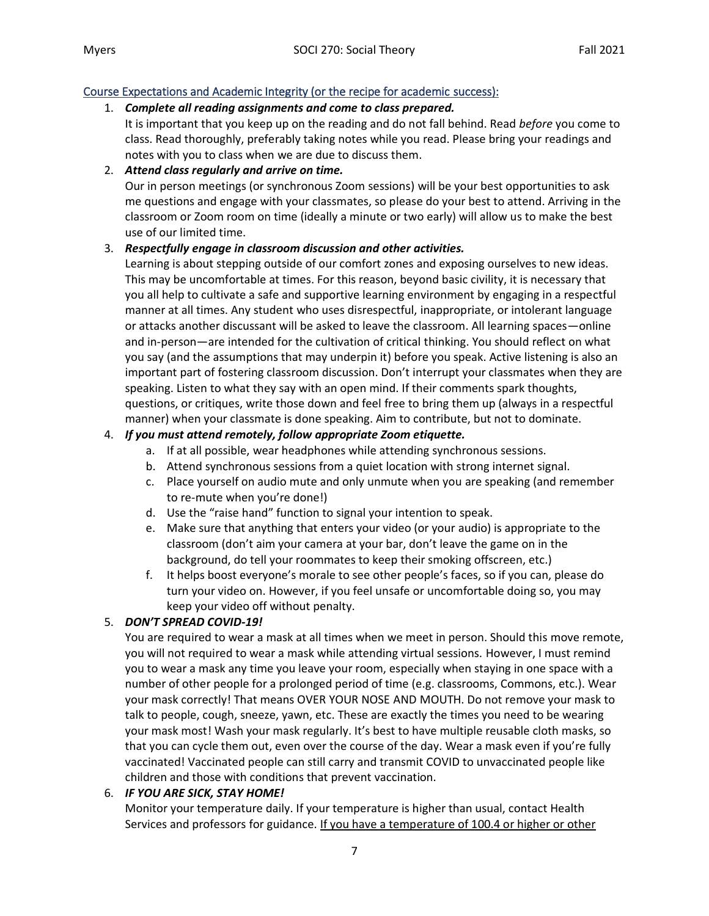# Course Expectations and Academic Integrity (or the recipe for academic success):

# 1. *Complete all reading assignments and come to class prepared.*

It is important that you keep up on the reading and do not fall behind. Read *before* you come to class. Read thoroughly, preferably taking notes while you read. Please bring your readings and notes with you to class when we are due to discuss them.

# 2. *Attend class regularly and arrive on time.*

Our in person meetings (or synchronous Zoom sessions) will be your best opportunities to ask me questions and engage with your classmates, so please do your best to attend. Arriving in the classroom or Zoom room on time (ideally a minute or two early) will allow us to make the best use of our limited time.

### 3. *Respectfully engage in classroom discussion and other activities.*

Learning is about stepping outside of our comfort zones and exposing ourselves to new ideas. This may be uncomfortable at times. For this reason, beyond basic civility, it is necessary that you all help to cultivate a safe and supportive learning environment by engaging in a respectful manner at all times. Any student who uses disrespectful, inappropriate, or intolerant language or attacks another discussant will be asked to leave the classroom. All learning spaces—online and in-person—are intended for the cultivation of critical thinking. You should reflect on what you say (and the assumptions that may underpin it) before you speak. Active listening is also an important part of fostering classroom discussion. Don't interrupt your classmates when they are speaking. Listen to what they say with an open mind. If their comments spark thoughts, questions, or critiques, write those down and feel free to bring them up (always in a respectful manner) when your classmate is done speaking. Aim to contribute, but not to dominate.

### 4. *If you must attend remotely, follow appropriate Zoom etiquette.*

- a. If at all possible, wear headphones while attending synchronous sessions.
- b. Attend synchronous sessions from a quiet location with strong internet signal.
- c. Place yourself on audio mute and only unmute when you are speaking (and remember to re-mute when you're done!)
- d. Use the "raise hand" function to signal your intention to speak.
- e. Make sure that anything that enters your video (or your audio) is appropriate to the classroom (don't aim your camera at your bar, don't leave the game on in the background, do tell your roommates to keep their smoking offscreen, etc.)
- f. It helps boost everyone's morale to see other people's faces, so if you can, please do turn your video on. However, if you feel unsafe or uncomfortable doing so, you may keep your video off without penalty.

# 5. *DON'T SPREAD COVID-19!*

You are required to wear a mask at all times when we meet in person. Should this move remote, you will not required to wear a mask while attending virtual sessions. However, I must remind you to wear a mask any time you leave your room, especially when staying in one space with a number of other people for a prolonged period of time (e.g. classrooms, Commons, etc.). Wear your mask correctly! That means OVER YOUR NOSE AND MOUTH. Do not remove your mask to talk to people, cough, sneeze, yawn, etc. These are exactly the times you need to be wearing your mask most! Wash your mask regularly. It's best to have multiple reusable cloth masks, so that you can cycle them out, even over the course of the day. Wear a mask even if you're fully vaccinated! Vaccinated people can still carry and transmit COVID to unvaccinated people like children and those with conditions that prevent vaccination.

# 6. *IF YOU ARE SICK, STAY HOME!*

Monitor your temperature daily. If your temperature is higher than usual, contact Health Services and professors for guidance. If you have a temperature of 100.4 or higher or other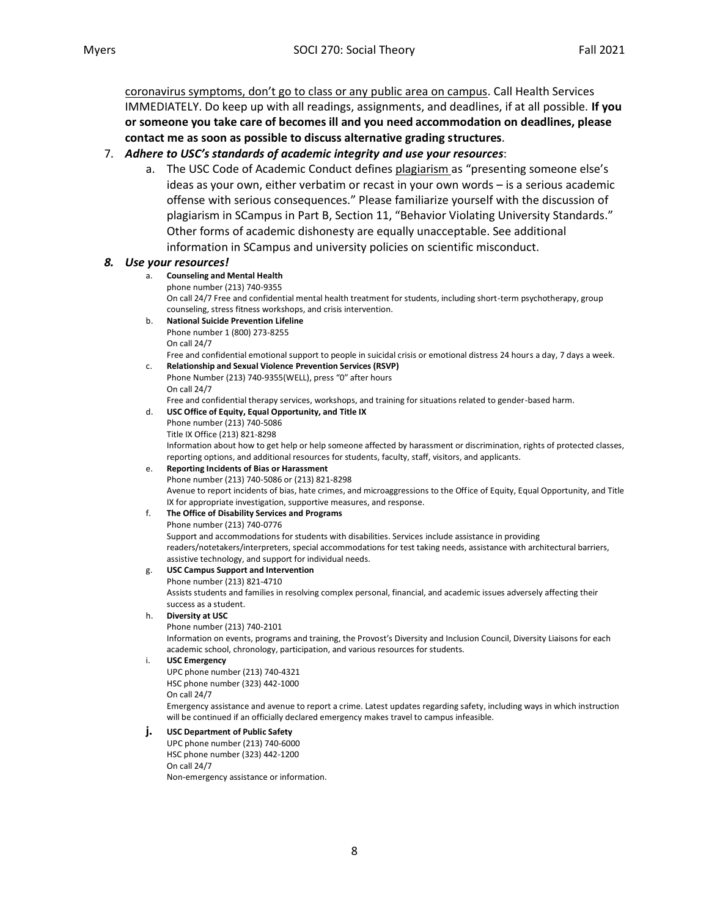coronavirus symptoms, don't go to class or any public area on campus. Call Health Services IMMEDIATELY. Do keep up with all readings, assignments, and deadlines, if at all possible. **If you or someone you take care of becomes ill and you need accommodation on deadlines, please contact me as soon as possible to discuss alternative grading structures**.

### 7. *Adhere to USC's standards of academic integrity and use your resources*:

a. The USC Code of Academic Conduct defines plagiarism as "presenting someone else's ideas as your own, either verbatim or recast in your own words – is a serious academic offense with serious consequences." Please familiarize yourself with the discussion of plagiarism in SCampus in Part B, Section 11, "Behavior Violating University Standards." Other forms of academic dishonesty are equally unacceptable. See additional information in SCampus and university policies on scientific misconduct.

#### *8. Use your resources!*

#### a. **Counseling and Mental Health**

phone number (213) 740-9355

On call 24/7 Free and confidential mental health treatment for students, including short-term psychotherapy, group counseling, stress fitness workshops, and crisis intervention.

b. **National Suicide Prevention Lifeline** 

Phone number 1 (800) 273-8255 On call 24/7

Free and confidential emotional support to people in suicidal crisis or emotional distress 24 hours a day, 7 days a week.

#### c. **Relationship and Sexual Violence Prevention Services (RSVP)**  Phone Number (213) 740-9355(WELL), press "0" after hours

On call 24/7

Free and confidential therapy services, workshops, and training for situations related to gender-based harm. d. **USC Office of Equity, Equal Opportunity, and Title IX** 

Phone number (213) 740-5086

Title IX Office (213) 821-8298

Information about how to get help or help someone affected by harassment or discrimination, rights of protected classes, reporting options, and additional resources for students, faculty, staff, visitors, and applicants.

#### e. **Reporting Incidents of Bias or Harassment**

Phone number (213) 740-5086 or (213) 821-8298 Avenue to report incidents of bias, hate crimes, and microaggressions to the Office of Equity, Equal Opportunity, and Title

#### IX for appropriate investigation, supportive measures, and response.

### f. **The Office of Disability Services and Programs**

Phone number (213) 740-0776

Support and accommodations for students with disabilities. Services include assistance in providing readers/notetakers/interpreters, special accommodations for test taking needs, assistance with architectural barriers, assistive technology, and support for individual needs.

### g. **USC Campus Support and Intervention**

Phone number (213) 821-4710 Assists students and families in resolving complex personal, financial, and academic issues adversely affecting their success as a student.

#### h. **Diversity at USC**

Phone number (213) 740-2101

Information on events, programs and training, the Provost's Diversity and Inclusion Council, Diversity Liaisons for each academic school, chronology, participation, and various resources for students.

#### i. **USC Emergency**

UPC phone number (213) 740-4321 HSC phone number (323) 442-1000 On call 24/7

Emergency assistance and avenue to report a crime. Latest updates regarding safety, including ways in which instruction will be continued if an officially declared emergency makes travel to campus infeasible.

#### **j. USC Department of Public Safety**

UPC phone number (213) 740-6000 HSC phone number (323) 442-1200 On call 24/7 Non-emergency assistance or information.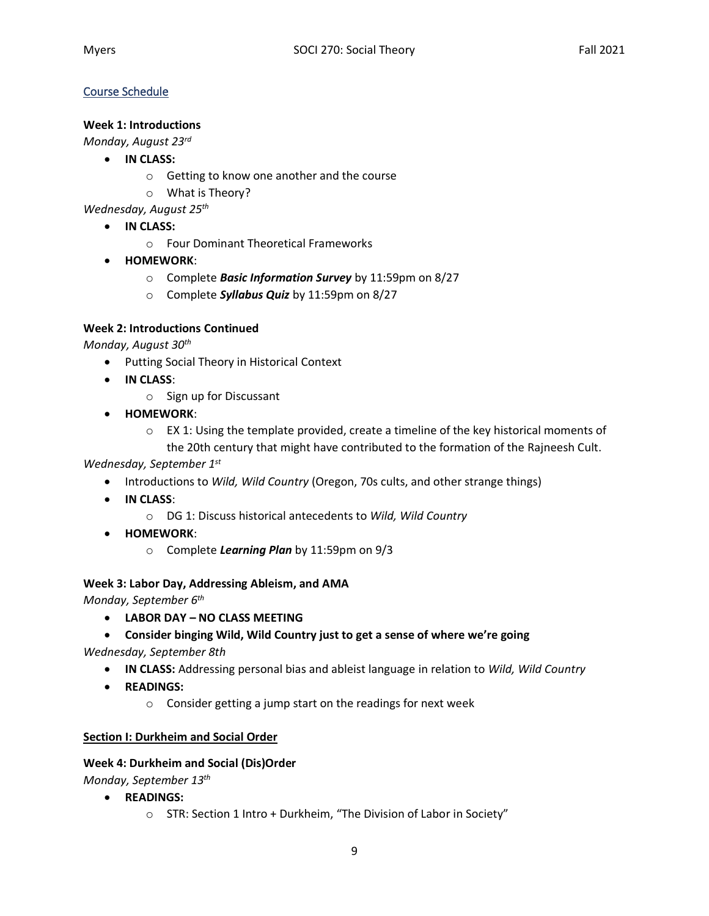# Course Schedule

# **Week 1: Introductions**

*Monday, August 23rd*

- **IN CLASS:**
	- o Getting to know one another and the course
	- o What is Theory?

*Wednesday, August 25th*

- **IN CLASS:**
	- o Four Dominant Theoretical Frameworks
- **HOMEWORK**:
	- o Complete *Basic Information Survey* by 11:59pm on 8/27
	- o Complete *Syllabus Quiz* by 11:59pm on 8/27

### **Week 2: Introductions Continued**

*Monday, August 30th*

- Putting Social Theory in Historical Context
- **IN CLASS**:
	- o Sign up for Discussant
- **HOMEWORK**:
	- $\circ$  EX 1: Using the template provided, create a timeline of the key historical moments of the 20th century that might have contributed to the formation of the Rajneesh Cult.

### *Wednesday, September 1st*

- Introductions to *Wild, Wild Country* (Oregon, 70s cults, and other strange things)
- **IN CLASS**:
	- o DG 1: Discuss historical antecedents to *Wild, Wild Country*
- **HOMEWORK**:
	- o Complete *Learning Plan* by 11:59pm on 9/3

### **Week 3: Labor Day, Addressing Ableism, and AMA**

*Monday, September 6th*

- **LABOR DAY – NO CLASS MEETING**
- **Consider binging Wild, Wild Country just to get a sense of where we're going**

*Wednesday, September 8th* 

- **IN CLASS:** Addressing personal bias and ableist language in relation to *Wild, Wild Country*
- **READINGS:**
	- o Consider getting a jump start on the readings for next week

### **Section I: Durkheim and Social Order**

### **Week 4: Durkheim and Social (Dis)Order**

*Monday, September 13th*

- **READINGS:**
	- o STR: Section 1 Intro + Durkheim, "The Division of Labor in Society"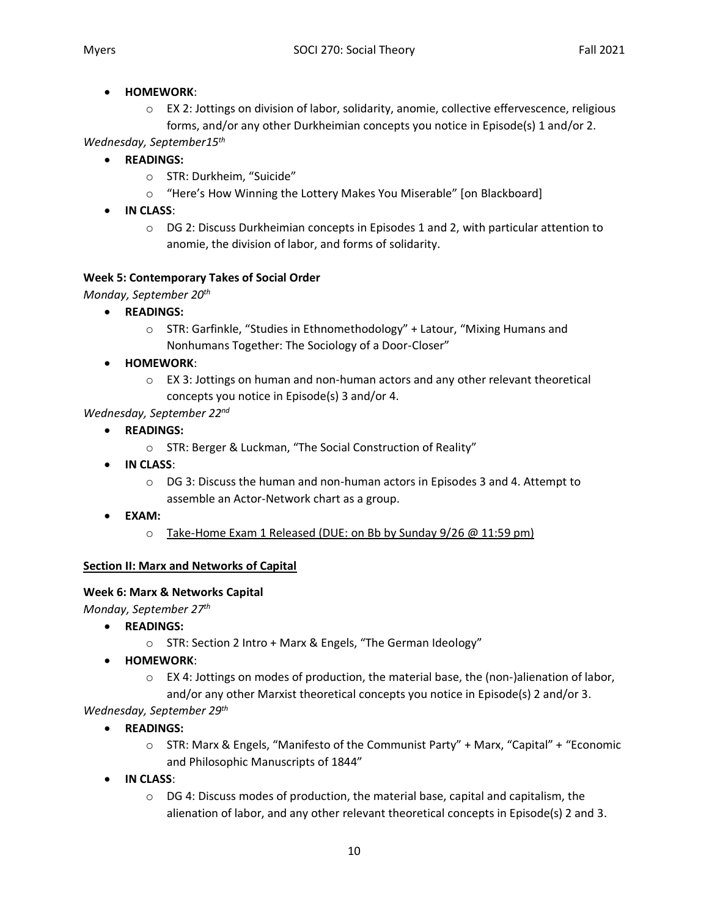### • **HOMEWORK**:

o EX 2: Jottings on division of labor, solidarity, anomie, collective effervescence, religious forms, and/or any other Durkheimian concepts you notice in Episode(s) 1 and/or 2.

*Wednesday, September15th*

- **READINGS:**
	- o STR: Durkheim, "Suicide"
	- o "Here's How Winning the Lottery Makes You Miserable" [on Blackboard]
- **IN CLASS**:
	- o DG 2: Discuss Durkheimian concepts in Episodes 1 and 2, with particular attention to anomie, the division of labor, and forms of solidarity.

# **Week 5: Contemporary Takes of Social Order**

*Monday, September 20th*

- **READINGS:**
	- o STR: Garfinkle, "Studies in Ethnomethodology" + Latour, "Mixing Humans and Nonhumans Together: The Sociology of a Door-Closer"
- **HOMEWORK**:
	- $\circ$  EX 3: Jottings on human and non-human actors and any other relevant theoretical concepts you notice in Episode(s) 3 and/or 4.

# *Wednesday, September 22nd*

- **READINGS:**
	- o STR: Berger & Luckman, "The Social Construction of Reality"
- **IN CLASS**:
	- o DG 3: Discuss the human and non-human actors in Episodes 3 and 4. Attempt to assemble an Actor-Network chart as a group.
- **EXAM:**
	- o Take-Home Exam 1 Released (DUE: on Bb by Sunday 9/26 @ 11:59 pm)

# **Section II: Marx and Networks of Capital**

# **Week 6: Marx & Networks Capital**

*Monday, September 27th*

- **READINGS:**
	- o STR: Section 2 Intro + Marx & Engels, "The German Ideology"
- **HOMEWORK**:
	- $\circ$  EX 4: Jottings on modes of production, the material base, the (non-)alienation of labor, and/or any other Marxist theoretical concepts you notice in Episode(s) 2 and/or 3.

*Wednesday, September 29th*

- **READINGS:**
	- o STR: Marx & Engels, "Manifesto of the Communist Party" + Marx, "Capital" + "Economic and Philosophic Manuscripts of 1844"
- **IN CLASS**:
	- $\circ$  DG 4: Discuss modes of production, the material base, capital and capitalism, the alienation of labor, and any other relevant theoretical concepts in Episode(s) 2 and 3.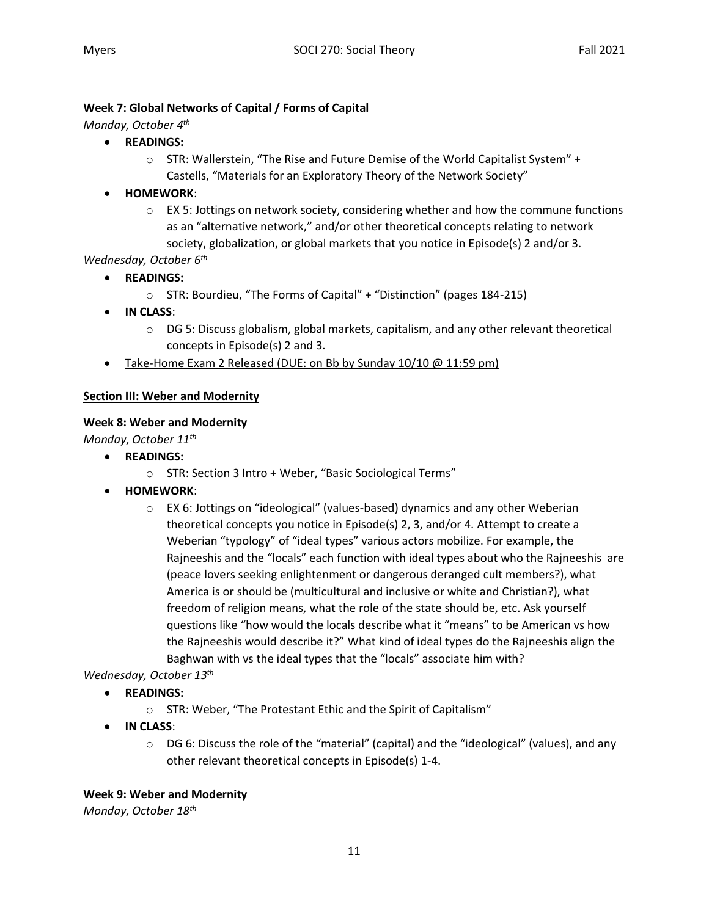### **Week 7: Global Networks of Capital / Forms of Capital**

*Monday, October 4th*

- **READINGS:**
	- o STR: Wallerstein, "The Rise and Future Demise of the World Capitalist System" + Castells, "Materials for an Exploratory Theory of the Network Society"
- **HOMEWORK**:
	- o EX 5: Jottings on network society, considering whether and how the commune functions as an "alternative network," and/or other theoretical concepts relating to network society, globalization, or global markets that you notice in Episode(s) 2 and/or 3.

### *Wednesday, October 6th*

- **READINGS:**
	- o STR: Bourdieu, "The Forms of Capital" + "Distinction" (pages 184-215)
- **IN CLASS**:
	- o DG 5: Discuss globalism, global markets, capitalism, and any other relevant theoretical concepts in Episode(s) 2 and 3.
- Take-Home Exam 2 Released (DUE: on Bb by Sunday 10/10 @ 11:59 pm)

### **Section III: Weber and Modernity**

### **Week 8: Weber and Modernity**

*Monday, October 11th*

- **READINGS:**
	- o STR: Section 3 Intro + Weber, "Basic Sociological Terms"
- **HOMEWORK**:
	- o EX 6: Jottings on "ideological" (values-based) dynamics and any other Weberian theoretical concepts you notice in Episode(s) 2, 3, and/or 4. Attempt to create a Weberian "typology" of "ideal types" various actors mobilize. For example, the Rajneeshis and the "locals" each function with ideal types about who the Rajneeshis are (peace lovers seeking enlightenment or dangerous deranged cult members?), what America is or should be (multicultural and inclusive or white and Christian?), what freedom of religion means, what the role of the state should be, etc. Ask yourself questions like "how would the locals describe what it "means" to be American vs how the Rajneeshis would describe it?" What kind of ideal types do the Rajneeshis align the Baghwan with vs the ideal types that the "locals" associate him with?

# *Wednesday, October 13th*

- **READINGS:**
	- o STR: Weber, "The Protestant Ethic and the Spirit of Capitalism"
- **IN CLASS**:
	- $\circ$  DG 6: Discuss the role of the "material" (capital) and the "ideological" (values), and any other relevant theoretical concepts in Episode(s) 1-4.

### **Week 9: Weber and Modernity**

*Monday, October 18th*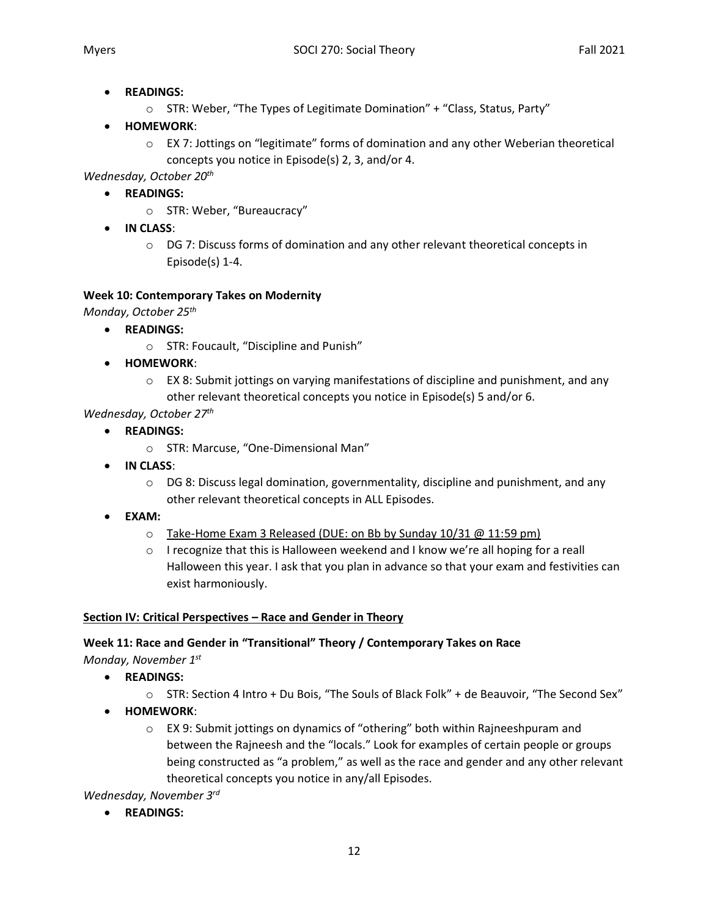- **READINGS:**
	- $\circ$  STR: Weber, "The Types of Legitimate Domination" + "Class, Status, Party"
- **HOMEWORK**:
	- o EX 7: Jottings on "legitimate" forms of domination and any other Weberian theoretical concepts you notice in Episode(s) 2, 3, and/or 4.

*Wednesday, October 20th*

- **READINGS:**
	- o STR: Weber, "Bureaucracy"
- **IN CLASS**:
	- $\circ$  DG 7: Discuss forms of domination and any other relevant theoretical concepts in Episode(s) 1-4.

# **Week 10: Contemporary Takes on Modernity**

*Monday, October 25th*

- **READINGS:**
	- o STR: Foucault, "Discipline and Punish"
- **HOMEWORK**:
	- $\circ$  EX 8: Submit jottings on varying manifestations of discipline and punishment, and any other relevant theoretical concepts you notice in Episode(s) 5 and/or 6.

# *Wednesday, October 27th*

- **READINGS:**
	- o STR: Marcuse, "One-Dimensional Man"
- **IN CLASS**:
	- $\circ$  DG 8: Discuss legal domination, governmentality, discipline and punishment, and any other relevant theoretical concepts in ALL Episodes.
- **EXAM:**
	- o Take-Home Exam 3 Released (DUE: on Bb by Sunday 10/31 @ 11:59 pm)
	- $\circ$  I recognize that this is Halloween weekend and I know we're all hoping for a reall Halloween this year. I ask that you plan in advance so that your exam and festivities can exist harmoniously.

# **Section IV: Critical Perspectives – Race and Gender in Theory**

# **Week 11: Race and Gender in "Transitional" Theory / Contemporary Takes on Race**

*Monday, November 1st*

- **READINGS:**
	- o STR: Section 4 Intro + Du Bois, "The Souls of Black Folk" + de Beauvoir, "The Second Sex"
- **HOMEWORK**:
	- $\circ$  EX 9: Submit jottings on dynamics of "othering" both within Rajneeshpuram and between the Rajneesh and the "locals." Look for examples of certain people or groups being constructed as "a problem," as well as the race and gender and any other relevant theoretical concepts you notice in any/all Episodes.

*Wednesday, November 3rd*

• **READINGS:**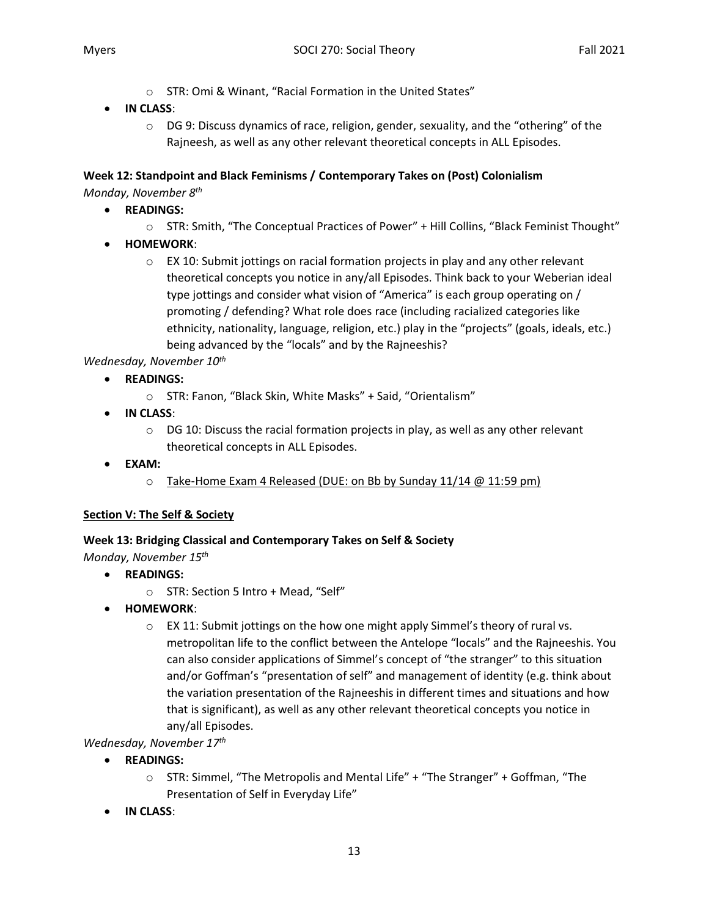- o STR: Omi & Winant, "Racial Formation in the United States"
- **IN CLASS**:
	- $\circ$  DG 9: Discuss dynamics of race, religion, gender, sexuality, and the "othering" of the Rajneesh, as well as any other relevant theoretical concepts in ALL Episodes.

# **Week 12: Standpoint and Black Feminisms / Contemporary Takes on (Post) Colonialism**

*Monday, November 8th*

- **READINGS:**
	- o STR: Smith, "The Conceptual Practices of Power" + Hill Collins, "Black Feminist Thought"
- **HOMEWORK**:
	- $\circ$  EX 10: Submit jottings on racial formation projects in play and any other relevant theoretical concepts you notice in any/all Episodes. Think back to your Weberian ideal type jottings and consider what vision of "America" is each group operating on / promoting / defending? What role does race (including racialized categories like ethnicity, nationality, language, religion, etc.) play in the "projects" (goals, ideals, etc.) being advanced by the "locals" and by the Rajneeshis?

*Wednesday, November 10th*

- **READINGS:**
	- o STR: Fanon, "Black Skin, White Masks" + Said, "Orientalism"
- **IN CLASS**:
	- $\circ$  DG 10: Discuss the racial formation projects in play, as well as any other relevant theoretical concepts in ALL Episodes.
- **EXAM:**
	- o Take-Home Exam 4 Released (DUE: on Bb by Sunday 11/14 @ 11:59 pm)

# **Section V: The Self & Society**

# **Week 13: Bridging Classical and Contemporary Takes on Self & Society**

*Monday, November 15th*

- **READINGS:**
	- o STR: Section 5 Intro + Mead, "Self"
- **HOMEWORK**:
	- $\circ$  EX 11: Submit jottings on the how one might apply Simmel's theory of rural vs. metropolitan life to the conflict between the Antelope "locals" and the Rajneeshis. You can also consider applications of Simmel's concept of "the stranger" to this situation and/or Goffman's "presentation of self" and management of identity (e.g. think about the variation presentation of the Rajneeshis in different times and situations and how that is significant), as well as any other relevant theoretical concepts you notice in any/all Episodes.
- *Wednesday, November 17th*
	- **READINGS:**
		- $\circ$  STR: Simmel, "The Metropolis and Mental Life" + "The Stranger" + Goffman, "The Presentation of Self in Everyday Life"
	- **IN CLASS**: